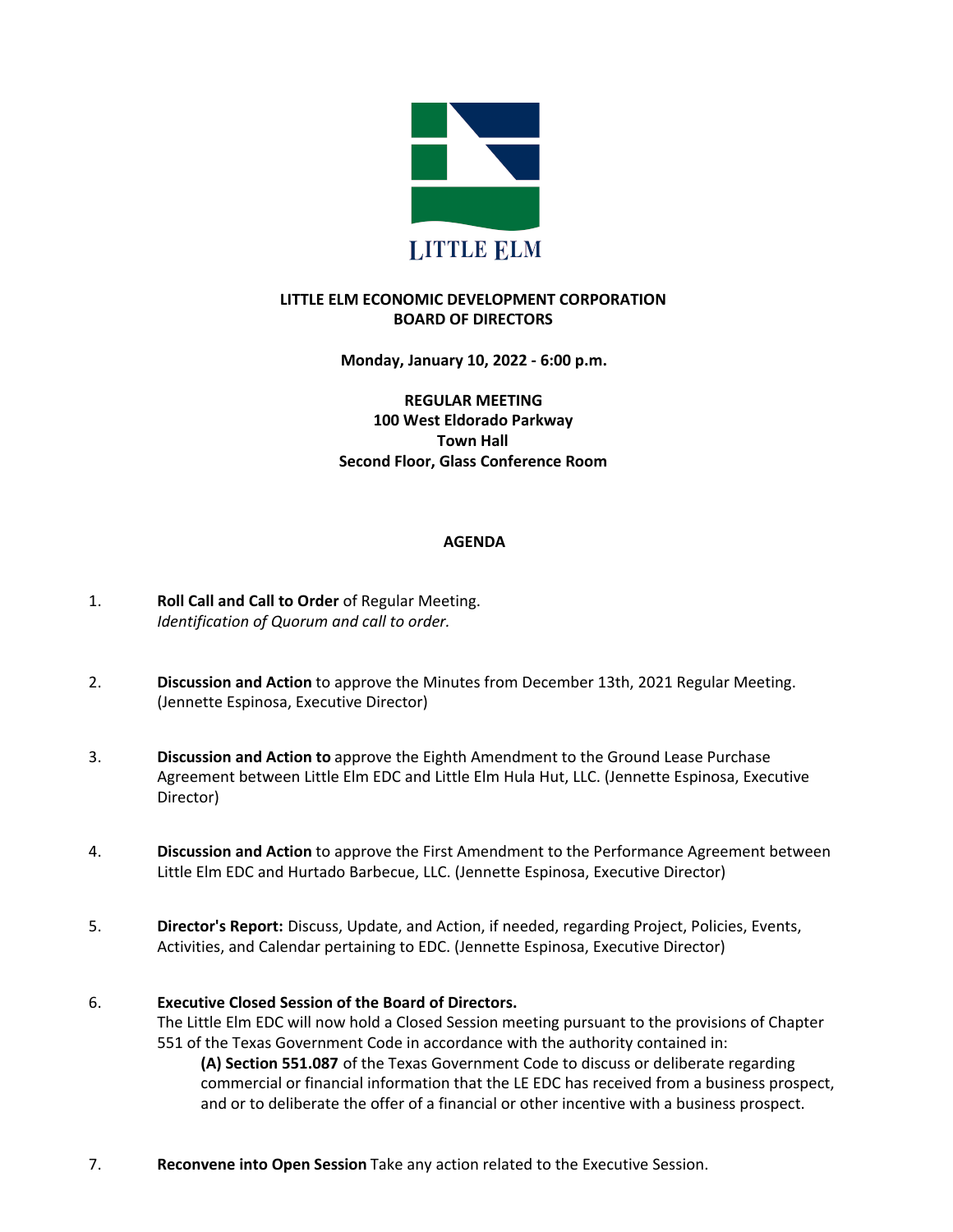

### **LITTLE ELM ECONOMIC DEVELOPMENT CORPORATION BOARD OF DIRECTORS**

**Monday, January 10, 2022 - 6:00 p.m.**

**REGULAR MEETING 100 West Eldorado Parkway Town Hall Second Floor, Glass Conference Room**

#### **AGENDA**

- 1. **Roll Call and Call to Order** of Regular Meeting. *Identification of Quorum and call to order.*
- 2. **Discussion and Action** to approve the Minutes from December 13th, 2021 Regular Meeting. (Jennette Espinosa, Executive Director)
- 3. **Discussion and Action to** approve the Eighth Amendment to the Ground Lease Purchase Agreement between Little Elm EDC and Little Elm Hula Hut, LLC. (Jennette Espinosa, Executive Director)
- 4. **Discussion and Action** to approve the First Amendment to the Performance Agreement between Little Elm EDC and Hurtado Barbecue, LLC. (Jennette Espinosa, Executive Director)
- 5. **Director's Report:** Discuss, Update, and Action, if needed, regarding Project, Policies, Events, Activities, and Calendar pertaining to EDC. (Jennette Espinosa, Executive Director)

### 6. **Executive Closed Session of the Board of Directors.**

The Little Elm EDC will now hold a Closed Session meeting pursuant to the provisions of Chapter 551 of the Texas Government Code in accordance with the authority contained in:

**(A) Section 551.087** of the Texas Government Code to discuss or deliberate regarding commercial or financial information that the LE EDC has received from a business prospect, and or to deliberate the offer of a financial or other incentive with a business prospect.

7. **Reconvene into Open Session** Take any action related to the Executive Session.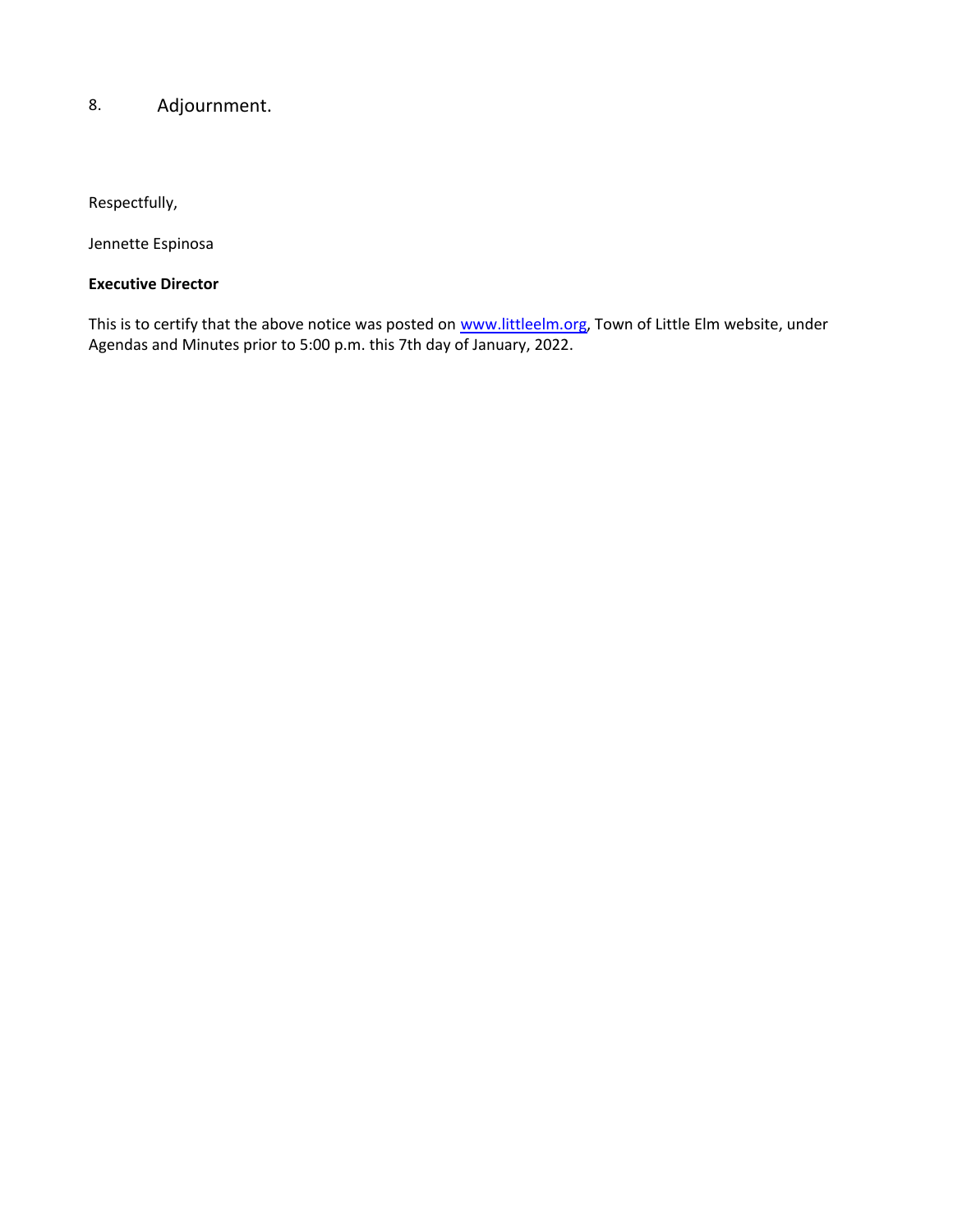# 8. Adjournment.

Respectfully,

Jennette Espinosa

### **Executive Director**

This is to certify that the above notice was posted on [www.littleelm.org](http://www.littleelm.org), Town of Little Elm website, under Agendas and Minutes prior to 5:00 p.m. this 7th day of January, 2022.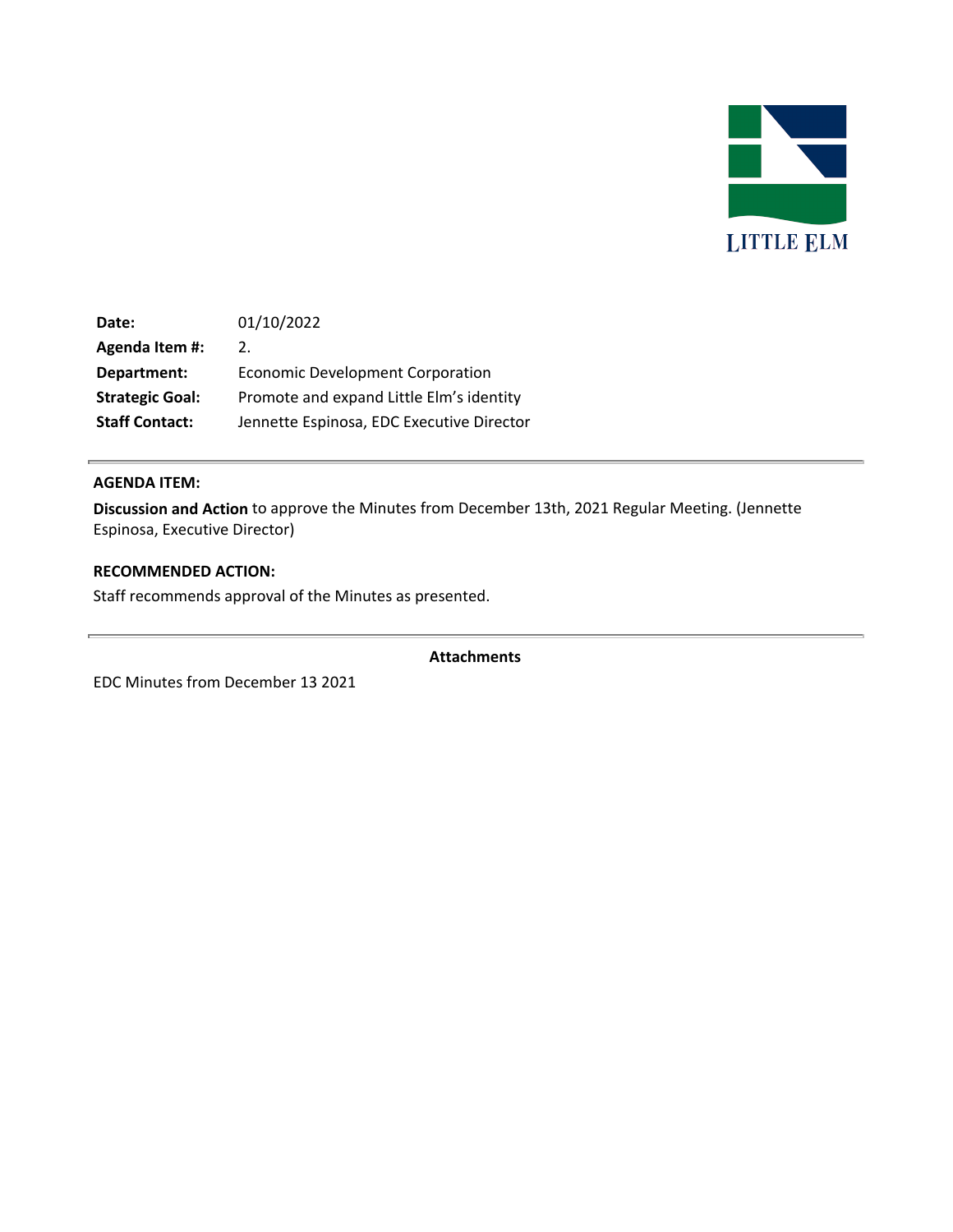

| Date:                  | 01/10/2022                                |
|------------------------|-------------------------------------------|
| Agenda Item #:         | 2.                                        |
| Department:            | <b>Economic Development Corporation</b>   |
| <b>Strategic Goal:</b> | Promote and expand Little Elm's identity  |
| <b>Staff Contact:</b>  | Jennette Espinosa, EDC Executive Director |

### **AGENDA ITEM:**

÷.

**Discussion and Action** to approve the Minutes from December 13th, 2021 Regular Meeting. (Jennette Espinosa, Executive Director)

### **RECOMMENDED ACTION:**

Staff recommends approval of the Minutes as presented.

**Attachments**

EDC Minutes from December 13 2021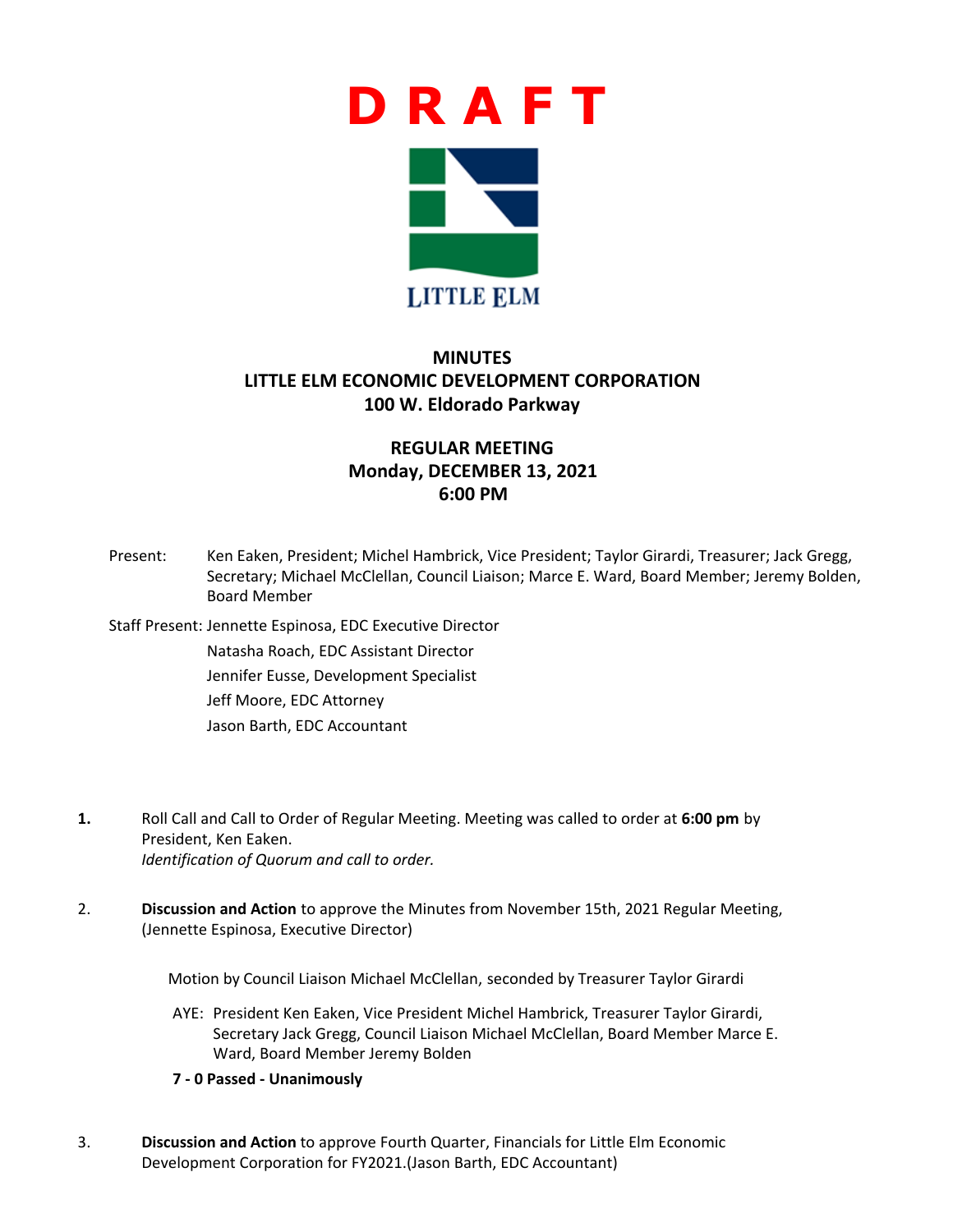

## **MINUTES LITTLE ELM ECONOMIC DEVELOPMENT CORPORATION 100 W. Eldorado Parkway**

# **REGULAR MEETING Monday, DECEMBER 13, 2021 6:00 PM**

Present: Ken Eaken, President; Michel Hambrick, Vice President; Taylor Girardi, Treasurer; Jack Gregg, Secretary; Michael McClellan, Council Liaison; Marce E. Ward, Board Member; Jeremy Bolden, Board Member

Staff Present: Jennette Espinosa, EDC Executive Director

Natasha Roach, EDC Assistant Director Jennifer Eusse, Development Specialist Jeff Moore, EDC Attorney Jason Barth, EDC Accountant

- **1.** Roll Call and Call to Order of Regular Meeting. Meeting was called to order at **6:00 pm** by President, Ken Eaken. *Identification of Quorum and call to order.*
- 2. **Discussion and Action** to approve the Minutes from November 15th, 2021 Regular Meeting, (Jennette Espinosa, Executive Director)

Motion by Council Liaison Michael McClellan, seconded by Treasurer Taylor Girardi

- AYE: President Ken Eaken, Vice President Michel Hambrick, Treasurer Taylor Girardi, Secretary Jack Gregg, Council Liaison Michael McClellan, Board Member Marce E. Ward, Board Member Jeremy Bolden
- **7 0 Passed Unanimously**
- 3. **Discussion and Action** to approve Fourth Quarter, Financials for Little Elm Economic Development Corporation for FY2021.(Jason Barth, EDC Accountant)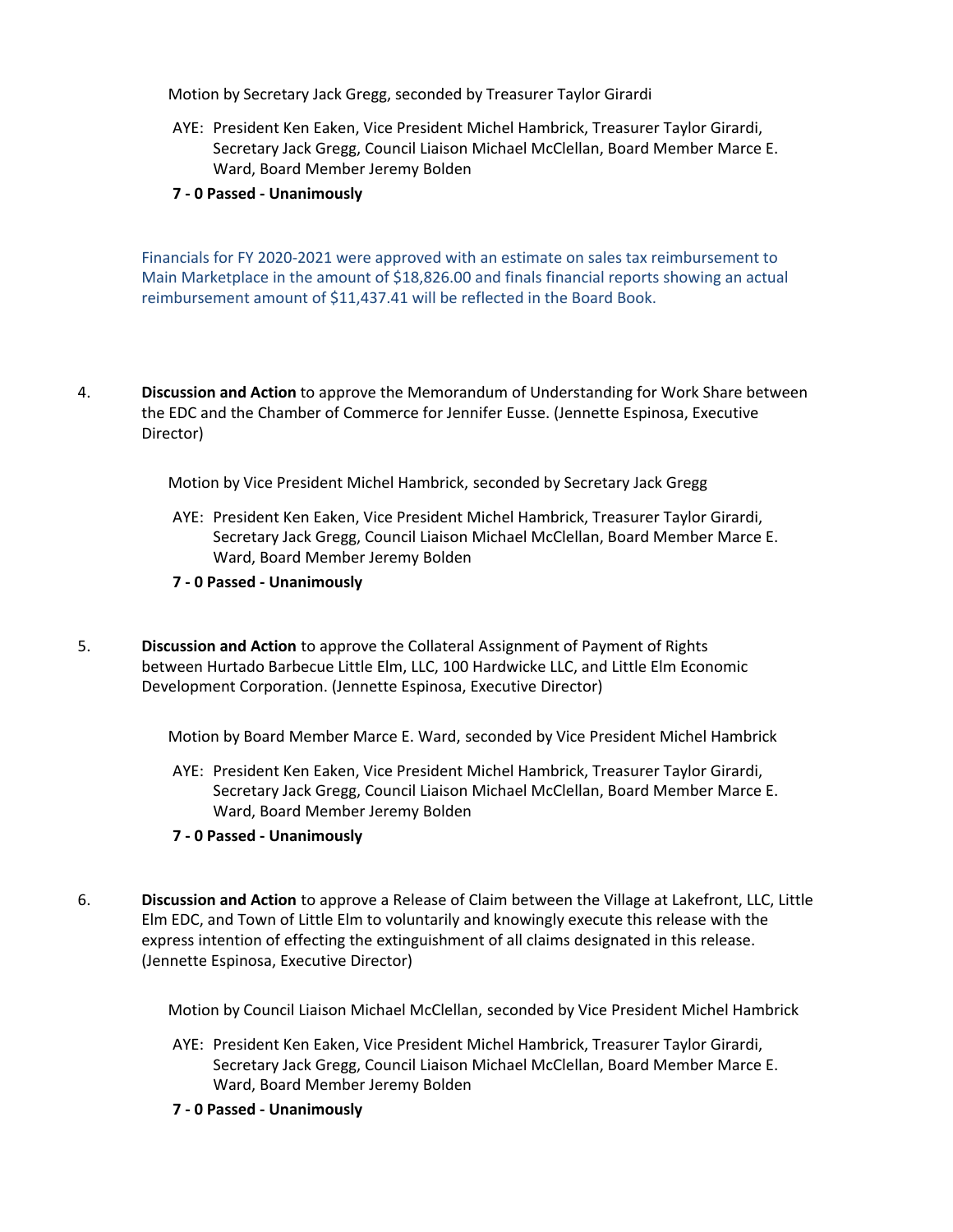Motion by Secretary Jack Gregg, seconded by Treasurer Taylor Girardi

AYE: President Ken Eaken, Vice President Michel Hambrick, Treasurer Taylor Girardi, Secretary Jack Gregg, Council Liaison Michael McClellan, Board Member Marce E. Ward, Board Member Jeremy Bolden

### **7 - 0 Passed - Unanimously**

Financials for FY 2020-2021 were approved with an estimate on sales tax reimbursement to Main Marketplace in the amount of \$18,826.00 and finals financial reports showing an actual reimbursement amount of \$11,437.41 will be reflected in the Board Book.

4. **Discussion and Action** to approve the Memorandum of Understanding for Work Share between the EDC and the Chamber of Commerce for Jennifer Eusse. (Jennette Espinosa, Executive Director)

Motion by Vice President Michel Hambrick, seconded by Secretary Jack Gregg

- AYE: President Ken Eaken, Vice President Michel Hambrick, Treasurer Taylor Girardi, Secretary Jack Gregg, Council Liaison Michael McClellan, Board Member Marce E. Ward, Board Member Jeremy Bolden
- **7 0 Passed Unanimously**
- 5. **Discussion and Action** to approve the Collateral Assignment of Payment of Rights between Hurtado Barbecue Little Elm, LLC, 100 Hardwicke LLC, and Little Elm Economic Development Corporation. (Jennette Espinosa, Executive Director)

Motion by Board Member Marce E. Ward, seconded by Vice President Michel Hambrick

AYE: President Ken Eaken, Vice President Michel Hambrick, Treasurer Taylor Girardi, Secretary Jack Gregg, Council Liaison Michael McClellan, Board Member Marce E. Ward, Board Member Jeremy Bolden

### **7 - 0 Passed - Unanimously**

6. **Discussion and Action** to approve a Release of Claim between the Village at Lakefront, LLC, Little Elm EDC, and Town of Little Elm to voluntarily and knowingly execute this release with the express intention of effecting the extinguishment of all claims designated in this release. (Jennette Espinosa, Executive Director)

Motion by Council Liaison Michael McClellan, seconded by Vice President Michel Hambrick

- AYE: President Ken Eaken, Vice President Michel Hambrick, Treasurer Taylor Girardi, Secretary Jack Gregg, Council Liaison Michael McClellan, Board Member Marce E. Ward, Board Member Jeremy Bolden
- **7 0 Passed Unanimously**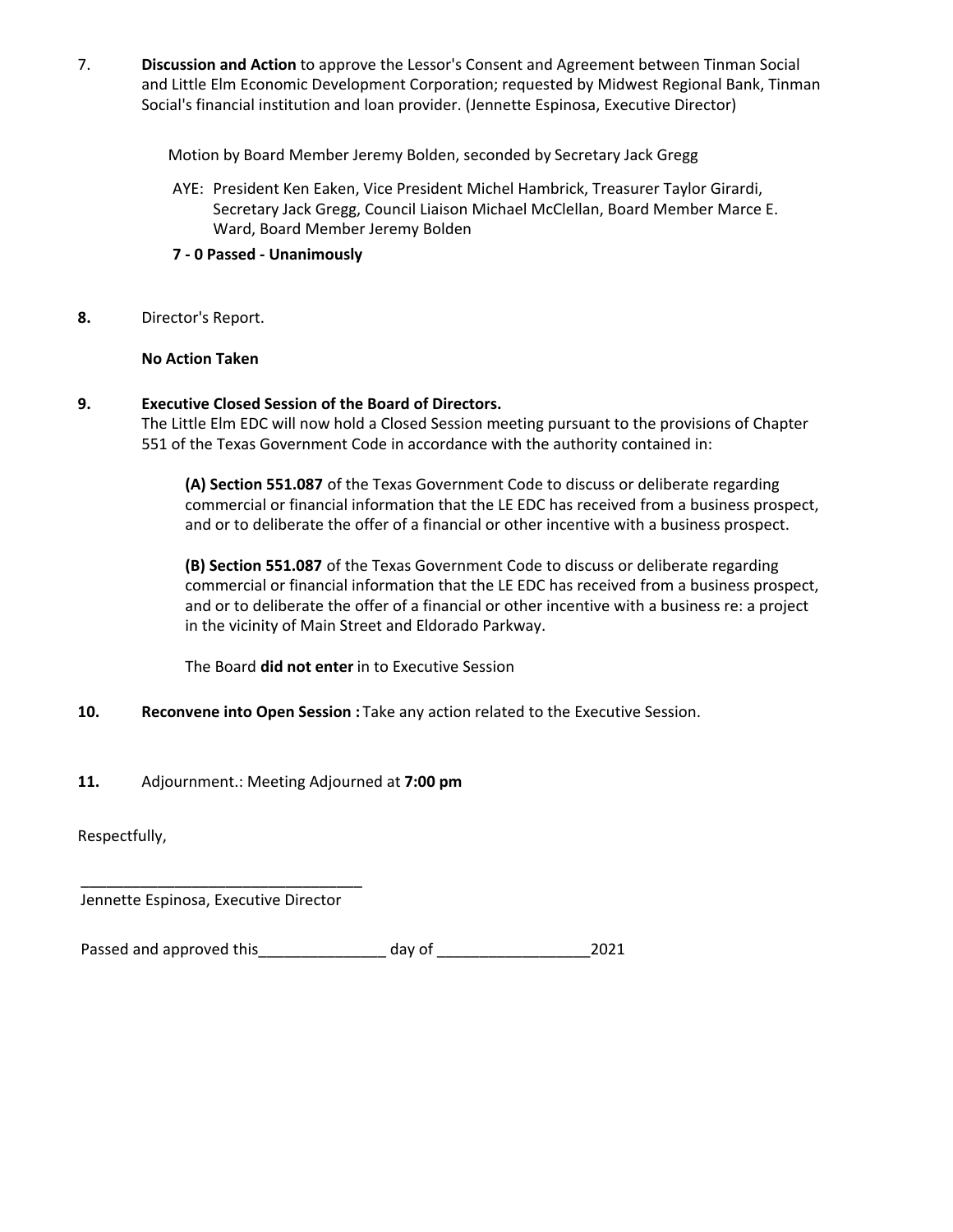7. **Discussion and Action** to approve the Lessor's Consent and Agreement between Tinman Social and Little Elm Economic Development Corporation; requested by Midwest Regional Bank, Tinman Social's financial institution and loan provider. (Jennette Espinosa, Executive Director)

Motion by Board Member Jeremy Bolden, seconded by Secretary Jack Gregg

AYE: President Ken Eaken, Vice President Michel Hambrick, Treasurer Taylor Girardi, Secretary Jack Gregg, Council Liaison Michael McClellan, Board Member Marce E. Ward, Board Member Jeremy Bolden

### **7 - 0 Passed - Unanimously**

**8.** Director's Report.

### **No Action Taken**

### **9. Executive Closed Session of the Board of Directors.**

The Little Elm EDC will now hold a Closed Session meeting pursuant to the provisions of Chapter 551 of the Texas Government Code in accordance with the authority contained in:

**(A) Section 551.087** of the Texas Government Code to discuss or deliberate regarding commercial or financial information that the LE EDC has received from a business prospect, and or to deliberate the offer of a financial or other incentive with a business prospect.

**(B) Section 551.087** of the Texas Government Code to discuss or deliberate regarding commercial or financial information that the LE EDC has received from a business prospect, and or to deliberate the offer of a financial or other incentive with a business re: a project in the vicinity of Main Street and Eldorado Parkway.

The Board **did not enter** in to Executive Session

- **10. Reconvene into Open Session :** Take any action related to the Executive Session.
- **11.** Adjournment.: Meeting Adjourned at **7:00 pm**

Respectfully,

\_\_\_\_\_\_\_\_\_\_\_\_\_\_\_\_\_\_\_\_\_\_\_\_\_\_\_\_\_\_\_\_\_ Jennette Espinosa, Executive Director

Passed and approved this\_\_\_\_\_\_\_\_\_\_\_\_\_\_\_\_\_\_\_ day of \_\_\_\_\_\_\_\_\_\_\_\_\_\_\_\_\_\_\_\_\_\_\_\_\_\_\_\_2021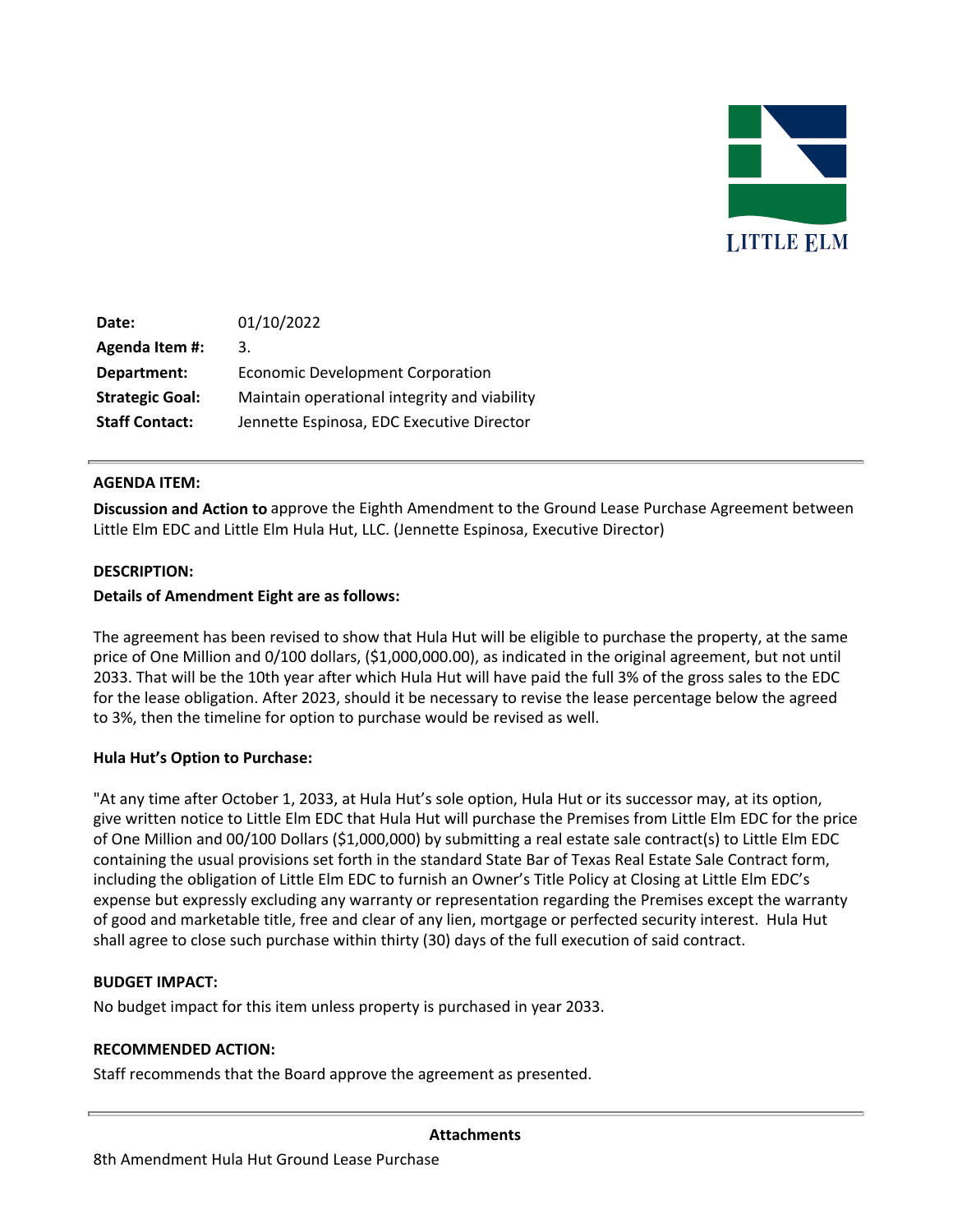

| Date:                  | 01/10/2022                                   |
|------------------------|----------------------------------------------|
| Agenda Item #:         | 3.                                           |
| Department:            | <b>Economic Development Corporation</b>      |
| <b>Strategic Goal:</b> | Maintain operational integrity and viability |
| <b>Staff Contact:</b>  | Jennette Espinosa, EDC Executive Director    |

#### **AGENDA ITEM:**

**Discussion and Action to** approve the Eighth Amendment to the Ground Lease Purchase Agreement between Little Elm EDC and Little Elm Hula Hut, LLC. (Jennette Espinosa, Executive Director)

#### **DESCRIPTION:**

#### **Details of Amendment Eight are as follows:**

The agreement has been revised to show that Hula Hut will be eligible to purchase the property, at the same price of One Million and 0/100 dollars, (\$1,000,000.00), as indicated in the original agreement, but not until 2033. That will be the 10th year after which Hula Hut will have paid the full 3% of the gross sales to the EDC for the lease obligation. After 2023, should it be necessary to revise the lease percentage below the agreed to 3%, then the timeline for option to purchase would be revised as well.

### **Hula Hut's Option to Purchase:**

"At any time after October 1, 2033, at Hula Hut's sole option, Hula Hut or its successor may, at its option, give written notice to Little Elm EDC that Hula Hut will purchase the Premises from Little Elm EDC for the price of One Million and 00/100 Dollars (\$1,000,000) by submitting a real estate sale contract(s) to Little Elm EDC containing the usual provisions set forth in the standard State Bar of Texas Real Estate Sale Contract form, including the obligation of Little Elm EDC to furnish an Owner's Title Policy at Closing at Little Elm EDC's expense but expressly excluding any warranty or representation regarding the Premises except the warranty of good and marketable title, free and clear of any lien, mortgage or perfected security interest. Hula Hut shall agree to close such purchase within thirty (30) days of the full execution of said contract.

#### **BUDGET IMPACT:**

No budget impact for this item unless property is purchased in year 2033.

### **RECOMMENDED ACTION:**

Staff recommends that the Board approve the agreement as presented.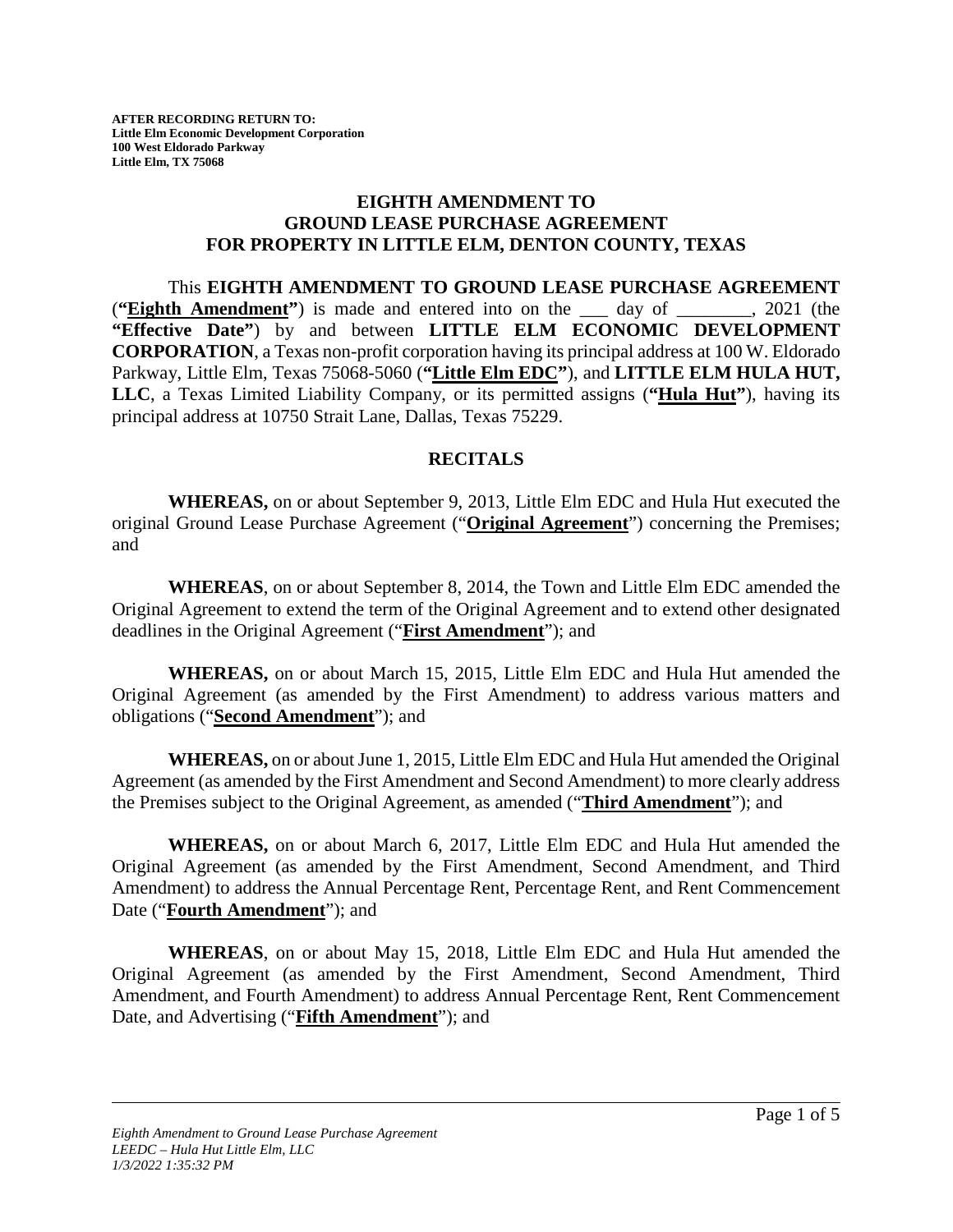### **EIGHTH AMENDMENT TO GROUND LEASE PURCHASE AGREEMENT FOR PROPERTY IN LITTLE ELM, DENTON COUNTY, TEXAS**

This **EIGHTH AMENDMENT TO GROUND LEASE PURCHASE AGREEMENT** (**"Eighth Amendment"**) is made and entered into on the \_\_\_ day of \_\_\_\_\_\_\_\_, 2021 (the **"Effective Date"**) by and between **LITTLE ELM ECONOMIC DEVELOPMENT CORPORATION**, a Texas non-profit corporation having its principal address at 100 W. Eldorado Parkway, Little Elm, Texas 75068-5060 (**"Little Elm EDC"**), and **LITTLE ELM HULA HUT, LLC**, a Texas Limited Liability Company, or its permitted assigns (**"Hula Hut"**), having its principal address at 10750 Strait Lane, Dallas, Texas 75229.

## **RECITALS**

**WHEREAS,** on or about September 9, 2013, Little Elm EDC and Hula Hut executed the original Ground Lease Purchase Agreement ("**Original Agreement**") concerning the Premises; and

**WHEREAS**, on or about September 8, 2014, the Town and Little Elm EDC amended the Original Agreement to extend the term of the Original Agreement and to extend other designated deadlines in the Original Agreement ("**First Amendment**"); and

**WHEREAS,** on or about March 15, 2015, Little Elm EDC and Hula Hut amended the Original Agreement (as amended by the First Amendment) to address various matters and obligations ("**Second Amendment**"); and

WHEREAS, on or about June 1, 2015, Little Elm EDC and Hula Hut amended the Original Agreement (as amended by the First Amendment and Second Amendment) to more clearly address the Premises subject to the Original Agreement, as amended ("**Third Amendment**"); and

**WHEREAS,** on or about March 6, 2017, Little Elm EDC and Hula Hut amended the Original Agreement (as amended by the First Amendment, Second Amendment, and Third Amendment) to address the Annual Percentage Rent, Percentage Rent, and Rent Commencement Date ("**Fourth Amendment**"); and

**WHEREAS**, on or about May 15, 2018, Little Elm EDC and Hula Hut amended the Original Agreement (as amended by the First Amendment, Second Amendment, Third Amendment, and Fourth Amendment) to address Annual Percentage Rent, Rent Commencement Date, and Advertising ("**Fifth Amendment**"); and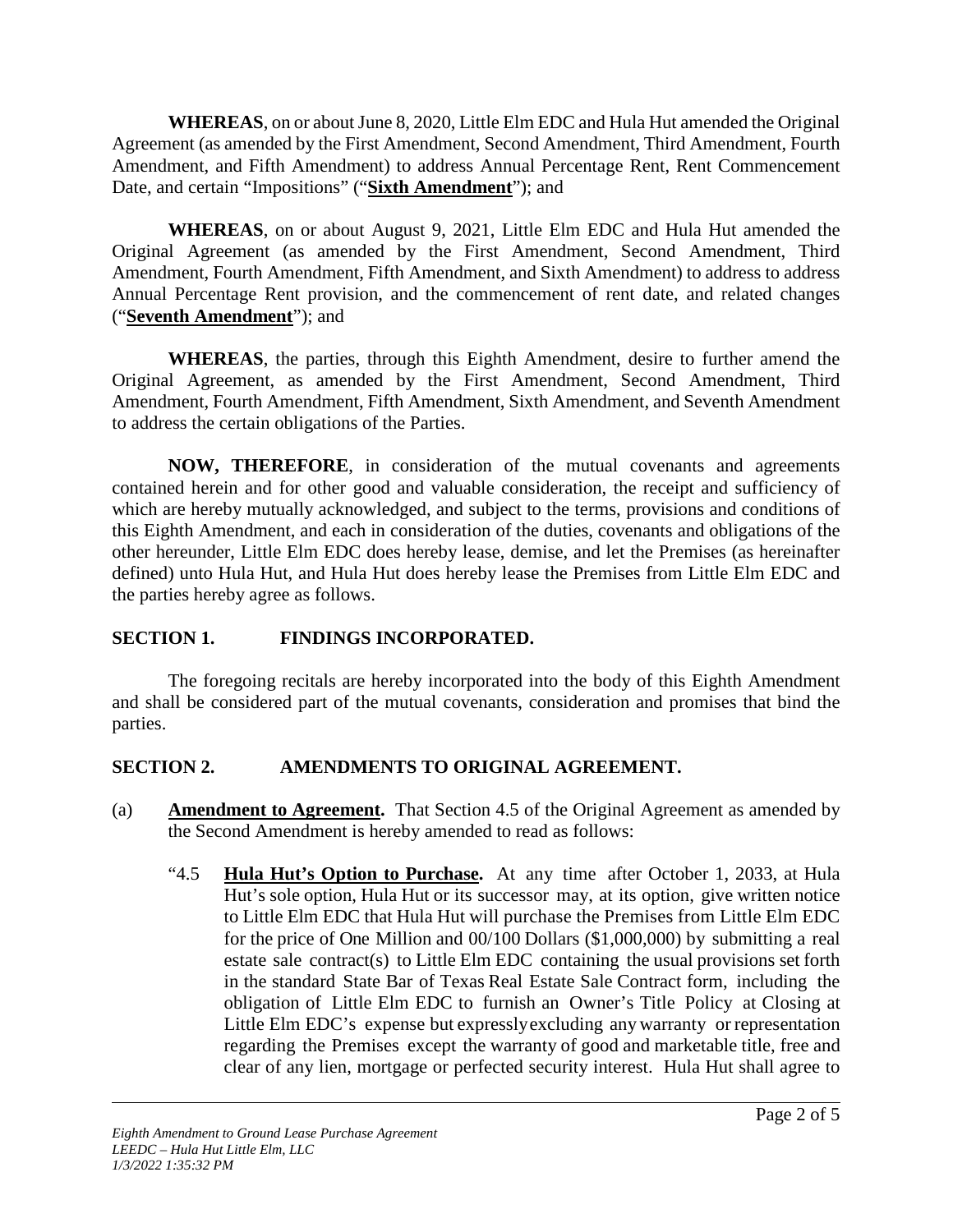**WHEREAS**, on or about June 8, 2020, Little Elm EDC and Hula Hut amended the Original Agreement (as amended by the First Amendment, Second Amendment, Third Amendment, Fourth Amendment, and Fifth Amendment) to address Annual Percentage Rent, Rent Commencement Date, and certain "Impositions" ("**Sixth Amendment**"); and

**WHEREAS**, on or about August 9, 2021, Little Elm EDC and Hula Hut amended the Original Agreement (as amended by the First Amendment, Second Amendment, Third Amendment, Fourth Amendment, Fifth Amendment, and Sixth Amendment) to address to address Annual Percentage Rent provision, and the commencement of rent date, and related changes ("**Seventh Amendment**"); and

**WHEREAS**, the parties, through this Eighth Amendment, desire to further amend the Original Agreement, as amended by the First Amendment, Second Amendment, Third Amendment, Fourth Amendment, Fifth Amendment, Sixth Amendment, and Seventh Amendment to address the certain obligations of the Parties.

**NOW, THEREFORE**, in consideration of the mutual covenants and agreements contained herein and for other good and valuable consideration, the receipt and sufficiency of which are hereby mutually acknowledged, and subject to the terms, provisions and conditions of this Eighth Amendment, and each in consideration of the duties, covenants and obligations of the other hereunder, Little Elm EDC does hereby lease, demise, and let the Premises (as hereinafter defined) unto Hula Hut, and Hula Hut does hereby lease the Premises from Little Elm EDC and the parties hereby agree as follows.

## **SECTION 1. FINDINGS INCORPORATED.**

The foregoing recitals are hereby incorporated into the body of this Eighth Amendment and shall be considered part of the mutual covenants, consideration and promises that bind the parties.

# **SECTION 2. AMENDMENTS TO ORIGINAL AGREEMENT.**

- (a) **Amendment to Agreement.** That Section 4.5 of the Original Agreement as amended by the Second Amendment is hereby amended to read as follows:
	- "4.5 **Hula Hut's Option to Purchase.** At any time after October 1, 2033, at Hula Hut's sole option, Hula Hut or its successor may, at its option, give written notice to Little Elm EDC that Hula Hut will purchase the Premises from Little Elm EDC for the price of One Million and 00/100 Dollars (\$1,000,000) by submitting a real estate sale contract(s) to Little Elm EDC containing the usual provisions set forth in the standard State Bar of Texas Real Estate Sale Contract form, including the obligation of Little Elm EDC to furnish an Owner's Title Policy at Closing at Little Elm EDC's expense but expresslyexcluding any warranty or representation regarding the Premises except the warranty of good and marketable title, free and clear of any lien, mortgage or perfected security interest. Hula Hut shall agree to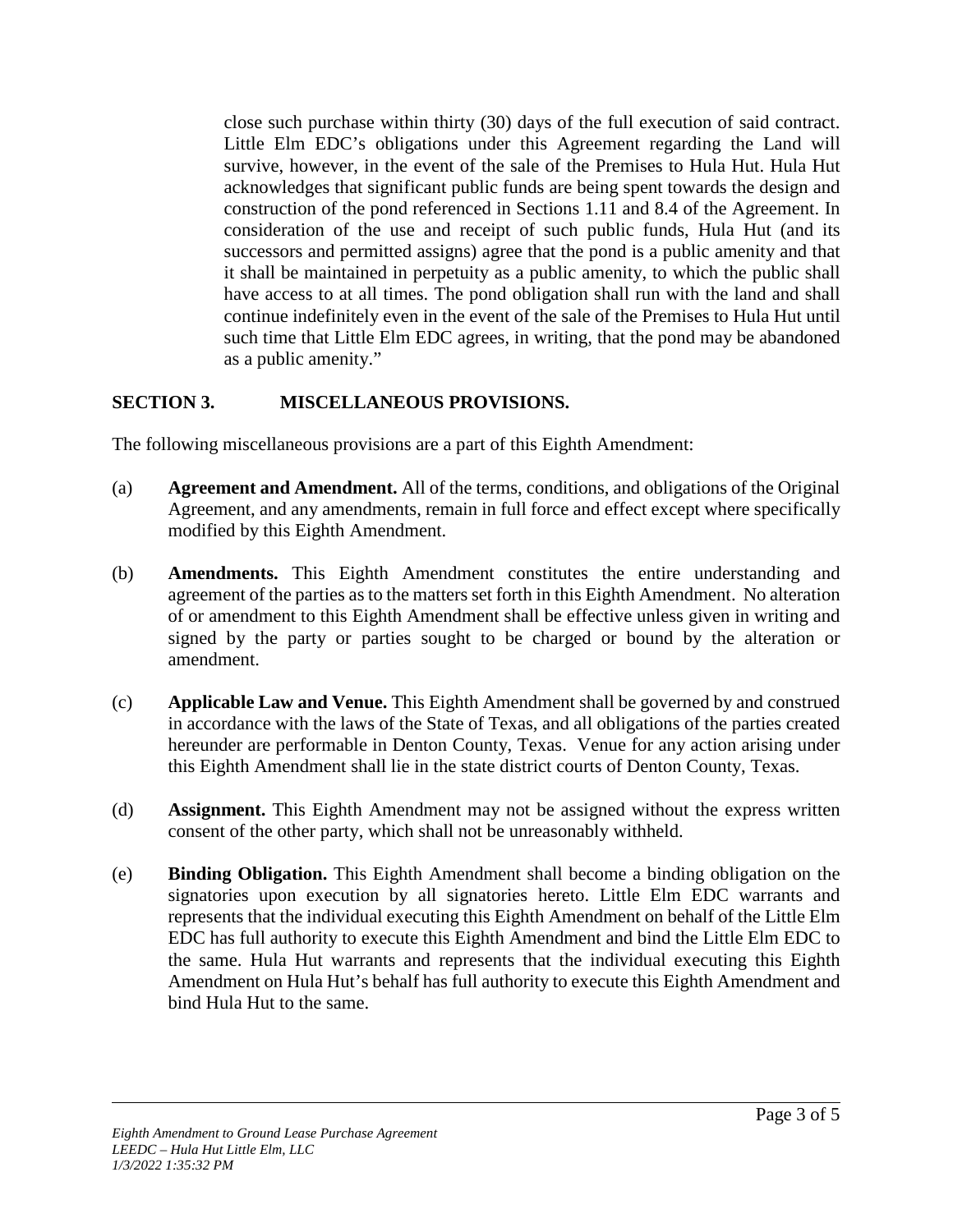close such purchase within thirty (30) days of the full execution of said contract. Little Elm EDC's obligations under this Agreement regarding the Land will survive, however, in the event of the sale of the Premises to Hula Hut. Hula Hut acknowledges that significant public funds are being spent towards the design and construction of the pond referenced in Sections 1.11 and 8.4 of the Agreement. In consideration of the use and receipt of such public funds, Hula Hut (and its successors and permitted assigns) agree that the pond is a public amenity and that it shall be maintained in perpetuity as a public amenity, to which the public shall have access to at all times. The pond obligation shall run with the land and shall continue indefinitely even in the event of the sale of the Premises to Hula Hut until such time that Little Elm EDC agrees, in writing, that the pond may be abandoned as a public amenity."

# **SECTION 3. MISCELLANEOUS PROVISIONS.**

The following miscellaneous provisions are a part of this Eighth Amendment:

- (a) **Agreement and Amendment.** All of the terms, conditions, and obligations of the Original Agreement, and any amendments, remain in full force and effect except where specifically modified by this Eighth Amendment.
- (b) **Amendments.** This Eighth Amendment constitutes the entire understanding and agreement of the parties as to the matters set forth in this Eighth Amendment. No alteration of or amendment to this Eighth Amendment shall be effective unless given in writing and signed by the party or parties sought to be charged or bound by the alteration or amendment.
- (c) **Applicable Law and Venue.** This Eighth Amendment shall be governed by and construed in accordance with the laws of the State of Texas, and all obligations of the parties created hereunder are performable in Denton County, Texas. Venue for any action arising under this Eighth Amendment shall lie in the state district courts of Denton County, Texas.
- (d) **Assignment.** This Eighth Amendment may not be assigned without the express written consent of the other party, which shall not be unreasonably withheld.
- (e) **Binding Obligation.** This Eighth Amendment shall become a binding obligation on the signatories upon execution by all signatories hereto. Little Elm EDC warrants and represents that the individual executing this Eighth Amendment on behalf of the Little Elm EDC has full authority to execute this Eighth Amendment and bind the Little Elm EDC to the same. Hula Hut warrants and represents that the individual executing this Eighth Amendment on Hula Hut's behalf has full authority to execute this Eighth Amendment and bind Hula Hut to the same.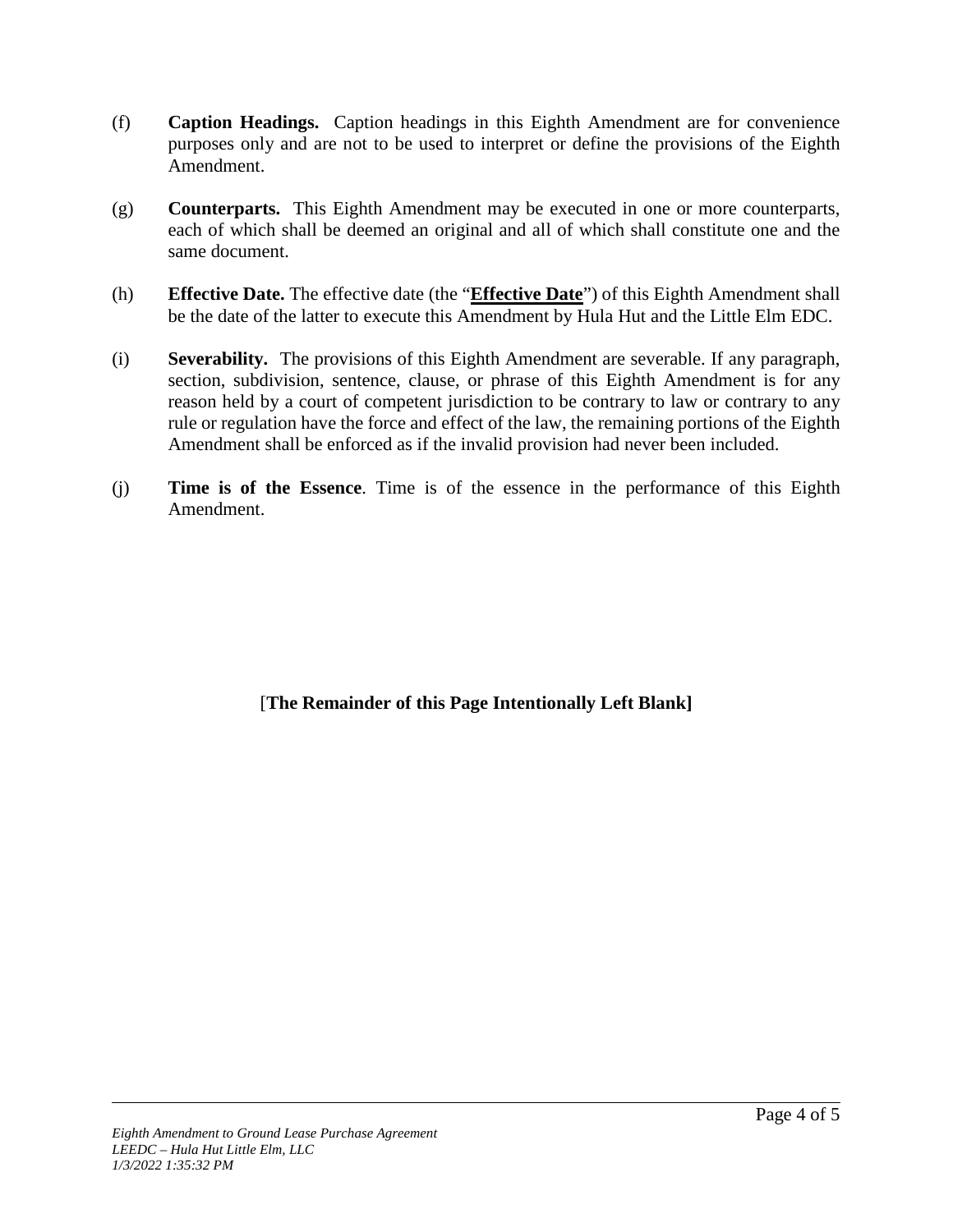- (f) **Caption Headings.** Caption headings in this Eighth Amendment are for convenience purposes only and are not to be used to interpret or define the provisions of the Eighth Amendment.
- (g) **Counterparts.** This Eighth Amendment may be executed in one or more counterparts, each of which shall be deemed an original and all of which shall constitute one and the same document.
- (h) **Effective Date.** The effective date (the "**Effective Date**") of this Eighth Amendment shall be the date of the latter to execute this Amendment by Hula Hut and the Little Elm EDC.
- (i) **Severability.** The provisions of this Eighth Amendment are severable. If any paragraph, section, subdivision, sentence, clause, or phrase of this Eighth Amendment is for any reason held by a court of competent jurisdiction to be contrary to law or contrary to any rule or regulation have the force and effect of the law, the remaining portions of the Eighth Amendment shall be enforced as if the invalid provision had never been included.
- (j) **Time is of the Essence**. Time is of the essence in the performance of this Eighth Amendment.

## [**The Remainder of this Page Intentionally Left Blank]**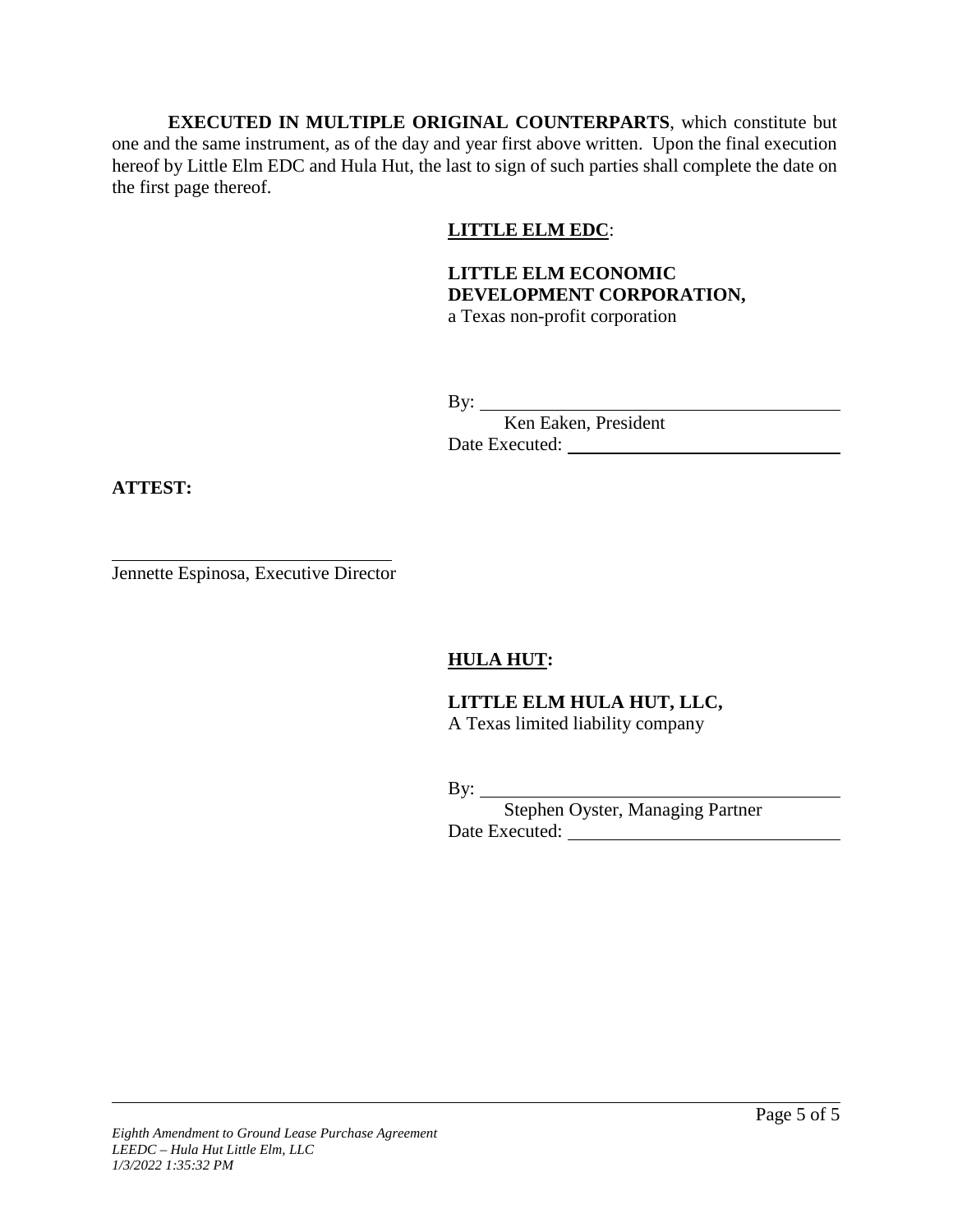**EXECUTED IN MULTIPLE ORIGINAL COUNTERPARTS**, which constitute but one and the same instrument, as of the day and year first above written. Upon the final execution hereof by Little Elm EDC and Hula Hut, the last to sign of such parties shall complete the date on the first page thereof.

## **LITTLE ELM EDC**:

### **LITTLE ELM ECONOMIC DEVELOPMENT CORPORATION,** a Texas non-profit corporation

By:

Ken Eaken, President Date Executed:

**ATTEST:**

Jennette Espinosa, Executive Director

# **HULA HUT:**

### **LITTLE ELM HULA HUT, LLC,** A Texas limited liability company

By:  $\qquad \qquad$ 

Stephen Oyster, Managing Partner Date Executed: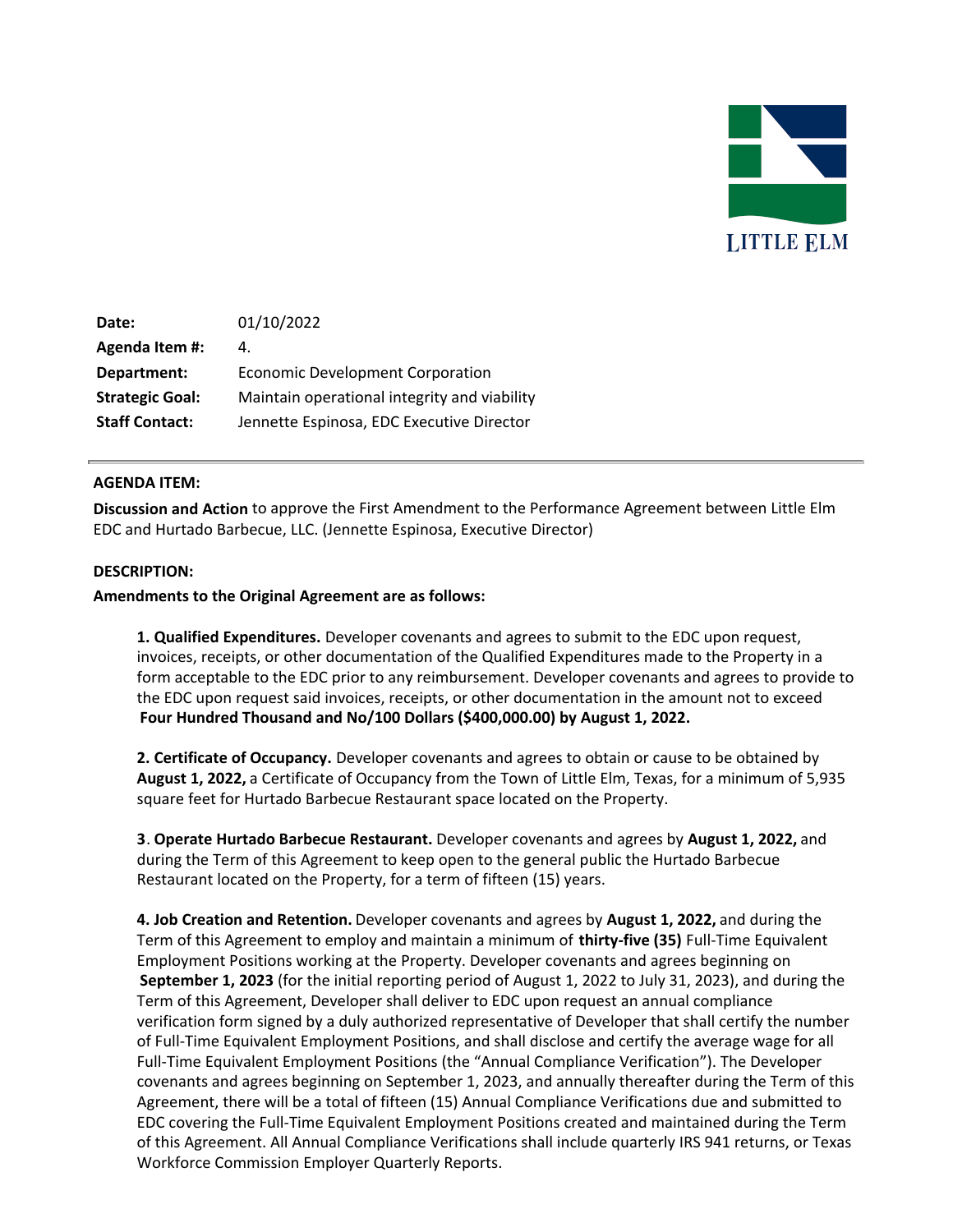

| Date:                  | 01/10/2022                                   |
|------------------------|----------------------------------------------|
| Agenda Item #:         | 4.                                           |
| Department:            | <b>Economic Development Corporation</b>      |
| <b>Strategic Goal:</b> | Maintain operational integrity and viability |
| <b>Staff Contact:</b>  | Jennette Espinosa, EDC Executive Director    |

#### **AGENDA ITEM:**

**Discussion and Action** to approve the First Amendment to the Performance Agreement between Little Elm EDC and Hurtado Barbecue, LLC. (Jennette Espinosa, Executive Director)

#### **DESCRIPTION:**

#### **Amendments to the Original Agreement are as follows:**

**1. Qualified Expenditures.** Developer covenants and agrees to submit to the EDC upon request, invoices, receipts, or other documentation of the Qualified Expenditures made to the Property in a form acceptable to the EDC prior to any reimbursement. Developer covenants and agrees to provide to the EDC upon request said invoices, receipts, or other documentation in the amount not to exceed **Four Hundred Thousand and No/100 Dollars (\$400,000.00) by August 1, 2022.**

**2. Certificate of Occupancy.** Developer covenants and agrees to obtain or cause to be obtained by **August 1, 2022,** a Certificate of Occupancy from the Town of Little Elm, Texas, for a minimum of 5,935 square feet for Hurtado Barbecue Restaurant space located on the Property.

**3**. **Operate Hurtado Barbecue Restaurant.** Developer covenants and agrees by **August 1, 2022,** and during the Term of this Agreement to keep open to the general public the Hurtado Barbecue Restaurant located on the Property, for a term of fifteen (15) years.

**4. Job Creation and Retention.** Developer covenants and agrees by **August 1, 2022,** and during the Term of this Agreement to employ and maintain a minimum of **thirty-five (35)** Full-Time Equivalent Employment Positions working at the Property. Developer covenants and agrees beginning on **September 1, 2023** (for the initial reporting period of August 1, 2022 to July 31, 2023), and during the Term of this Agreement, Developer shall deliver to EDC upon request an annual compliance verification form signed by a duly authorized representative of Developer that shall certify the number of Full-Time Equivalent Employment Positions, and shall disclose and certify the average wage for all Full-Time Equivalent Employment Positions (the "Annual Compliance Verification"). The Developer covenants and agrees beginning on September 1, 2023, and annually thereafter during the Term of this Agreement, there will be a total of fifteen (15) Annual Compliance Verifications due and submitted to EDC covering the Full-Time Equivalent Employment Positions created and maintained during the Term of this Agreement. All Annual Compliance Verifications shall include quarterly IRS 941 returns, or Texas Workforce Commission Employer Quarterly Reports.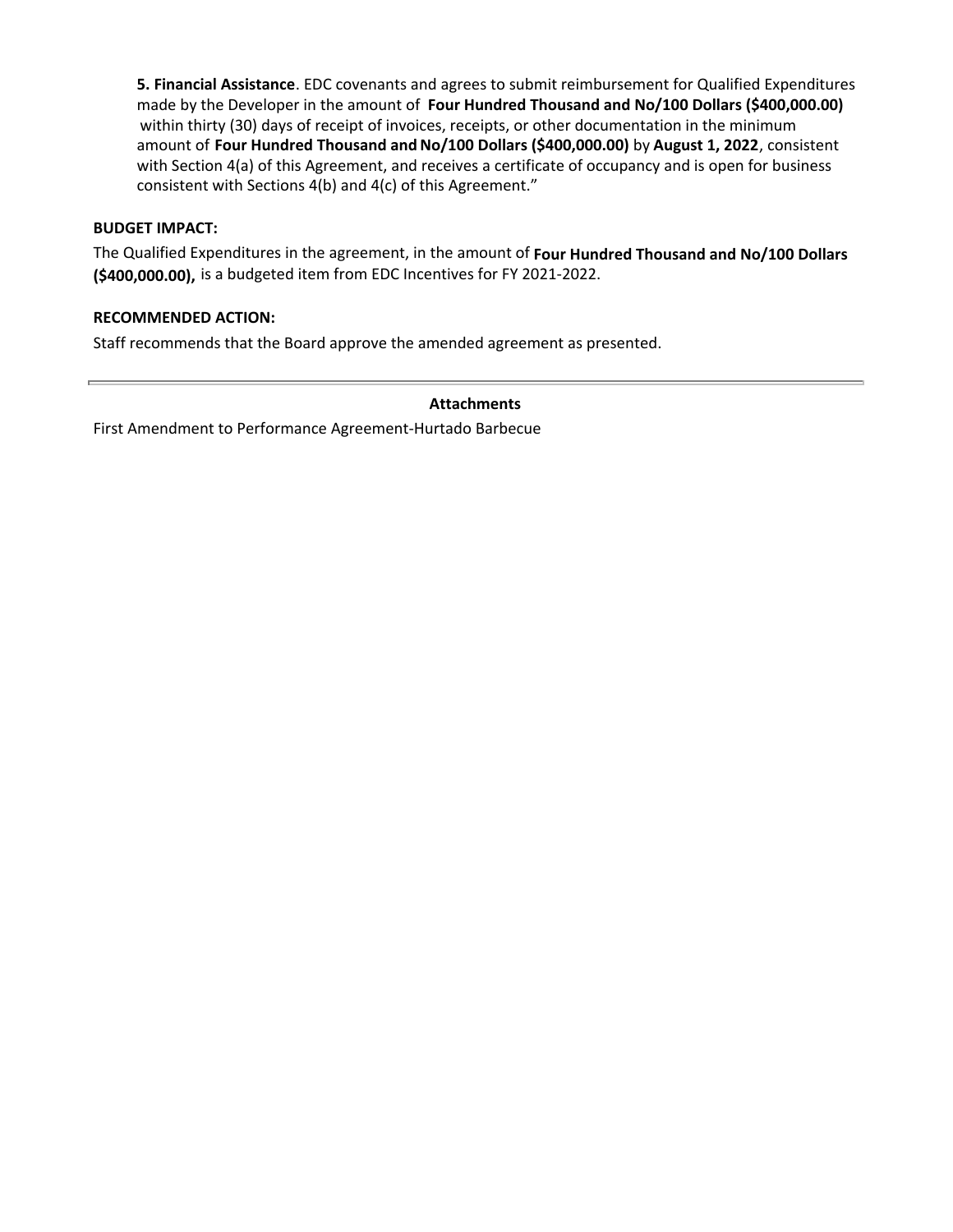**5. Financial Assistance**. EDC covenants and agrees to submit reimbursement for Qualified Expenditures made by the Developer in the amount of **Four Hundred Thousand and No/100 Dollars (\$400,000.00)** within thirty (30) days of receipt of invoices, receipts, or other documentation in the minimum amount of **Four Hundred Thousand and No/100 Dollars (\$400,000.00)** by August 1, 2022, consistent with Section 4(a) of this Agreement, and receives a certificate of occupancy and is open for business consistent with Sections 4(b) and 4(c) of this Agreement."

### **BUDGET IMPACT:**

The Qualified Expenditures in the agreement, in the amount of **Four Hundred Thousand and No/100 Dollars (\$400,000.00),** is a budgeted item from EDC Incentives for FY 2021-2022.

### **RECOMMENDED ACTION:**

Staff recommends that the Board approve the amended agreement as presented.

### **Attachments**

First Amendment to Performance Agreement-Hurtado Barbecue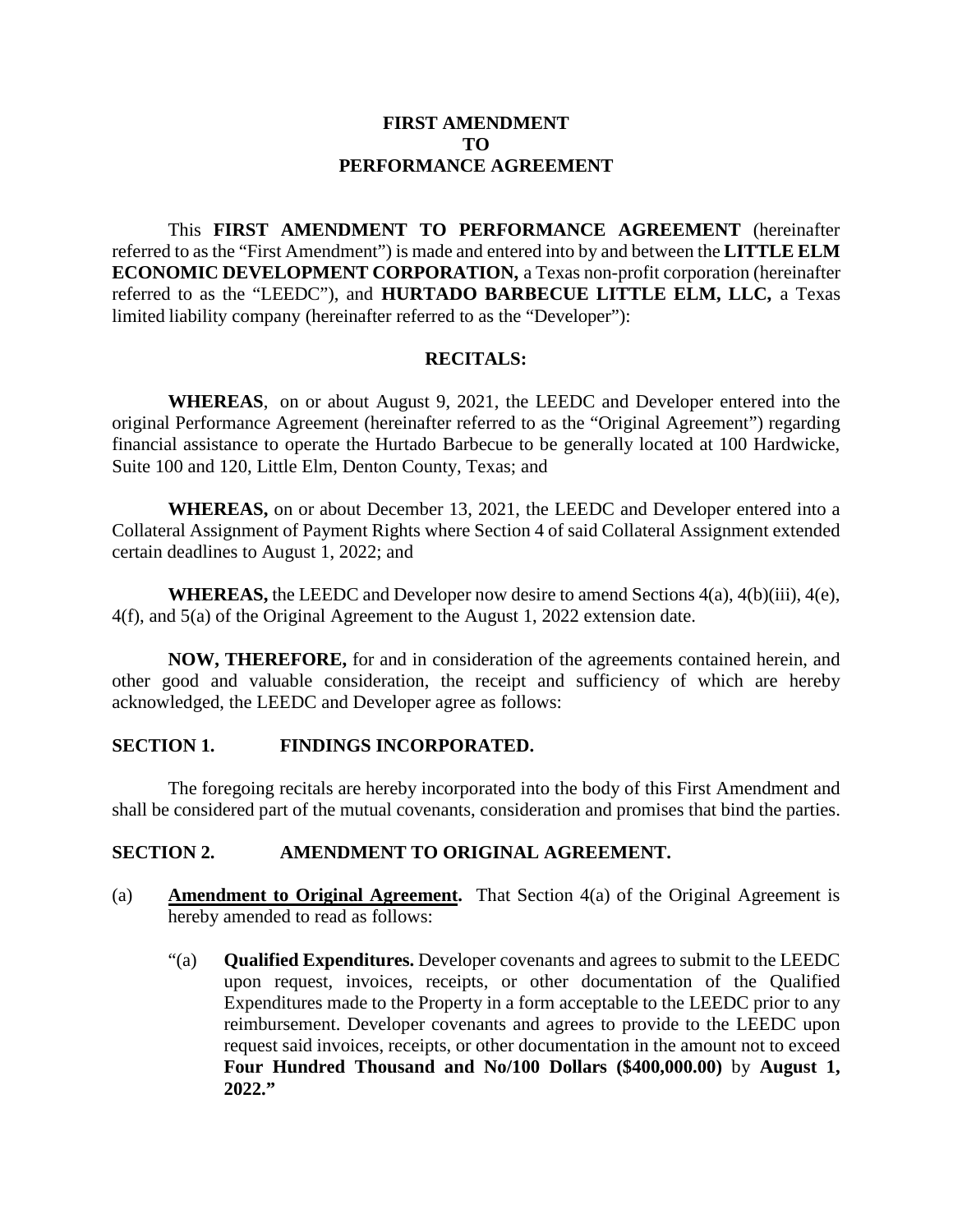### **FIRST AMENDMENT TO PERFORMANCE AGREEMENT**

This **FIRST AMENDMENT TO PERFORMANCE AGREEMENT** (hereinafter referred to as the "First Amendment") is made and entered into by and between the **LITTLE ELM ECONOMIC DEVELOPMENT CORPORATION,** a Texas non-profit corporation (hereinafter referred to as the "LEEDC"), and **HURTADO BARBECUE LITTLE ELM, LLC,** a Texas limited liability company (hereinafter referred to as the "Developer"):

### **RECITALS:**

**WHEREAS**, on or about August 9, 2021, the LEEDC and Developer entered into the original Performance Agreement (hereinafter referred to as the "Original Agreement") regarding financial assistance to operate the Hurtado Barbecue to be generally located at 100 Hardwicke, Suite 100 and 120, Little Elm, Denton County, Texas; and

**WHEREAS,** on or about December 13, 2021, the LEEDC and Developer entered into a Collateral Assignment of Payment Rights where Section 4 of said Collateral Assignment extended certain deadlines to August 1, 2022; and

**WHEREAS,** the LEEDC and Developer now desire to amend Sections 4(a), 4(b)(iii), 4(e), 4(f), and 5(a) of the Original Agreement to the August 1, 2022 extension date.

**NOW, THEREFORE,** for and in consideration of the agreements contained herein, and other good and valuable consideration, the receipt and sufficiency of which are hereby acknowledged, the LEEDC and Developer agree as follows:

## **SECTION 1. FINDINGS INCORPORATED.**

The foregoing recitals are hereby incorporated into the body of this First Amendment and shall be considered part of the mutual covenants, consideration and promises that bind the parties.

## **SECTION 2. AMENDMENT TO ORIGINAL AGREEMENT.**

- (a) **Amendment to Original Agreement.** That Section 4(a) of the Original Agreement is hereby amended to read as follows:
	- "(a) **Qualified Expenditures.** Developer covenants and agrees to submit to the LEEDC upon request, invoices, receipts, or other documentation of the Qualified Expenditures made to the Property in a form acceptable to the LEEDC prior to any reimbursement. Developer covenants and agrees to provide to the LEEDC upon request said invoices, receipts, or other documentation in the amount not to exceed **Four Hundred Thousand and No/100 Dollars (\$400,000.00)** by **August 1, 2022."**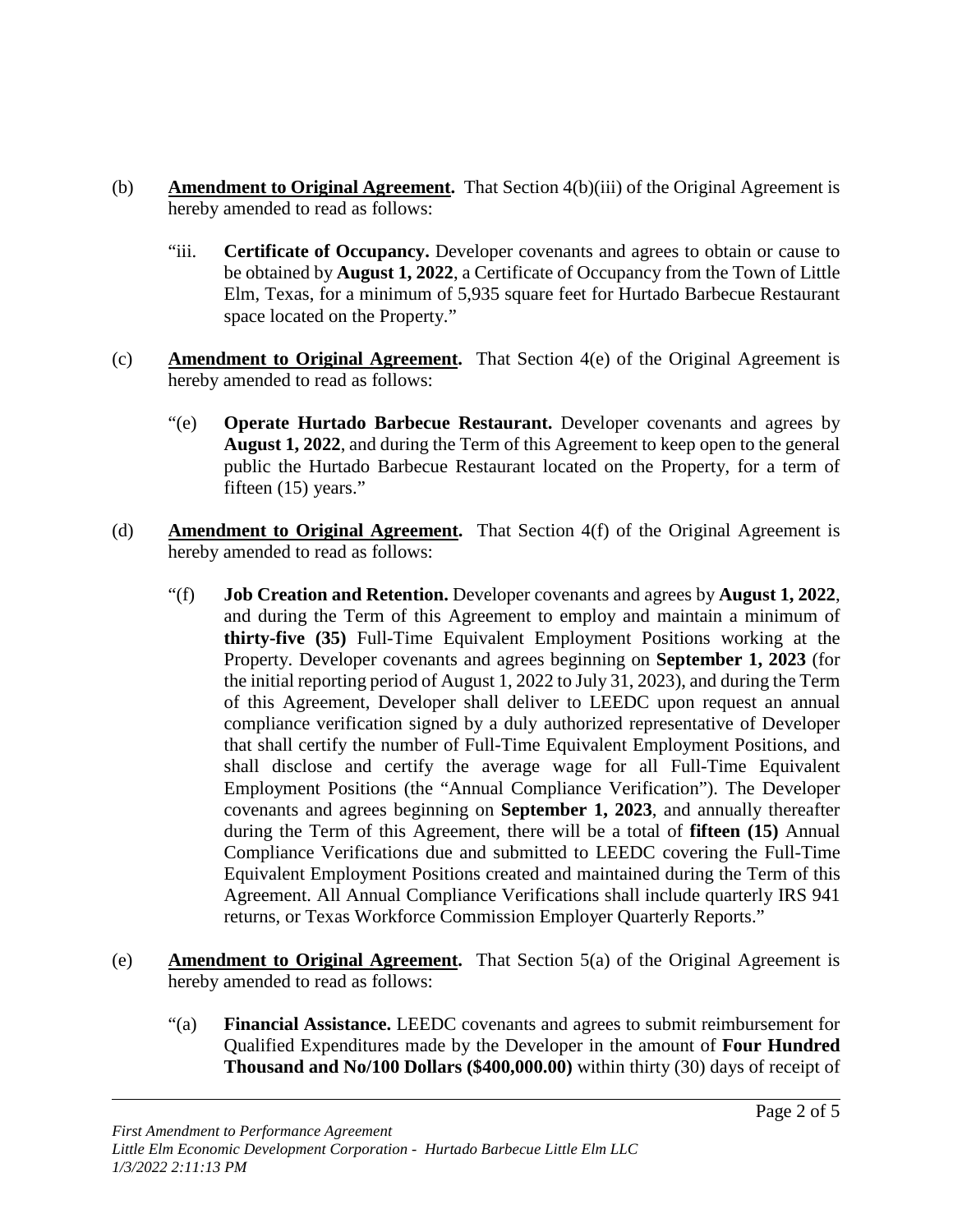- (b) **Amendment to Original Agreement.** That Section 4(b)(iii) of the Original Agreement is hereby amended to read as follows:
	- "iii. **Certificate of Occupancy.** Developer covenants and agrees to obtain or cause to be obtained by **August 1, 2022**, a Certificate of Occupancy from the Town of Little Elm, Texas, for a minimum of 5,935 square feet for Hurtado Barbecue Restaurant space located on the Property."
- (c) **Amendment to Original Agreement.** That Section 4(e) of the Original Agreement is hereby amended to read as follows:
	- "(e) **Operate Hurtado Barbecue Restaurant.** Developer covenants and agrees by **August 1, 2022**, and during the Term of this Agreement to keep open to the general public the Hurtado Barbecue Restaurant located on the Property, for a term of fifteen (15) years."
- (d) **Amendment to Original Agreement.** That Section 4(f) of the Original Agreement is hereby amended to read as follows:
	- "(f) **Job Creation and Retention.** Developer covenants and agrees by **August 1, 2022**, and during the Term of this Agreement to employ and maintain a minimum of **thirty-five (35)** Full-Time Equivalent Employment Positions working at the Property. Developer covenants and agrees beginning on **September 1, 2023** (for the initial reporting period of August 1, 2022 to July 31, 2023), and during the Term of this Agreement, Developer shall deliver to LEEDC upon request an annual compliance verification signed by a duly authorized representative of Developer that shall certify the number of Full-Time Equivalent Employment Positions, and shall disclose and certify the average wage for all Full-Time Equivalent Employment Positions (the "Annual Compliance Verification"). The Developer covenants and agrees beginning on **September 1, 2023**, and annually thereafter during the Term of this Agreement, there will be a total of **fifteen (15)** Annual Compliance Verifications due and submitted to LEEDC covering the Full-Time Equivalent Employment Positions created and maintained during the Term of this Agreement. All Annual Compliance Verifications shall include quarterly IRS 941 returns, or Texas Workforce Commission Employer Quarterly Reports."
- (e) **Amendment to Original Agreement.** That Section 5(a) of the Original Agreement is hereby amended to read as follows:
	- "(a) **Financial Assistance.** LEEDC covenants and agrees to submit reimbursement for Qualified Expenditures made by the Developer in the amount of **Four Hundred Thousand and No/100 Dollars (\$400,000.00)** within thirty (30) days of receipt of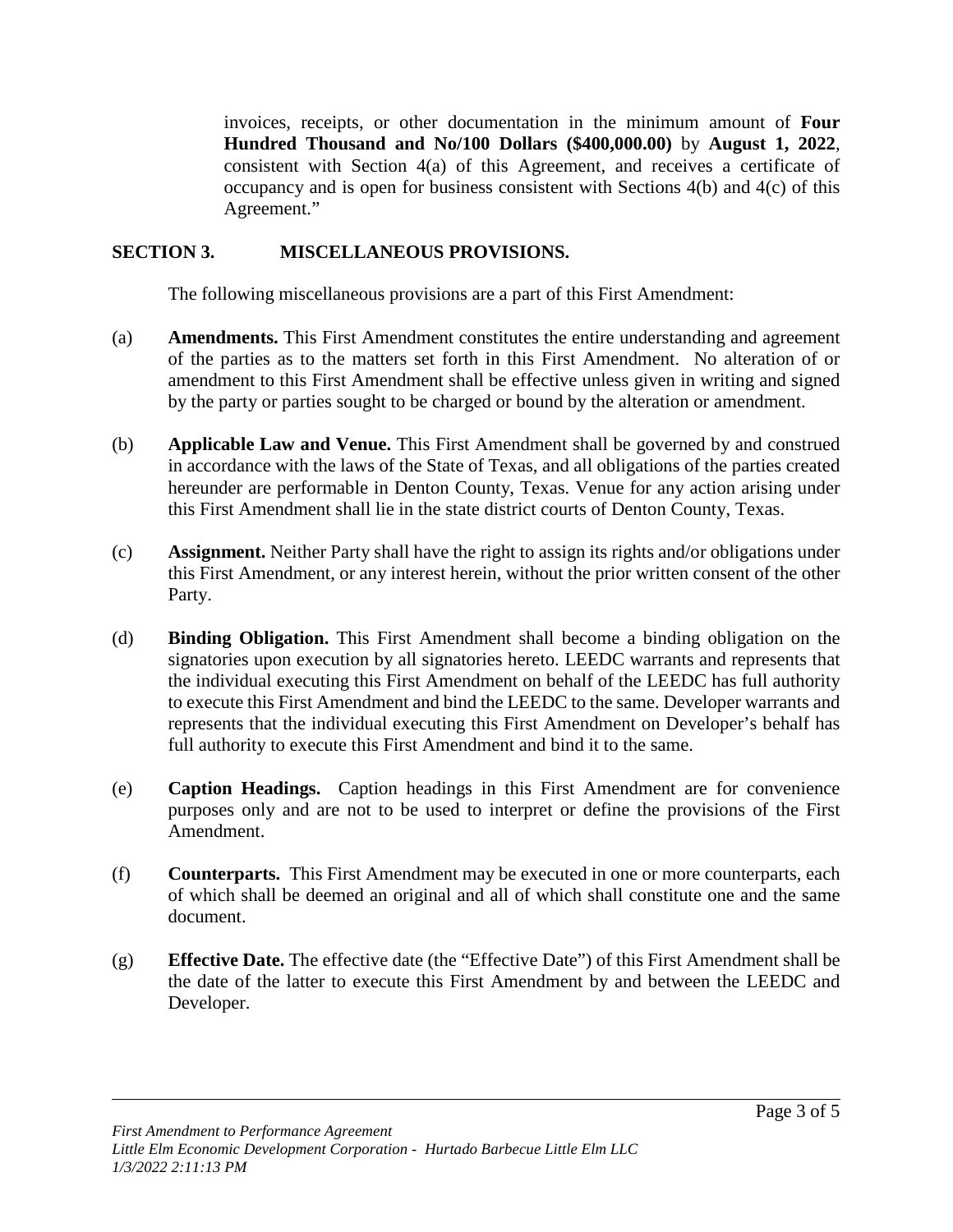invoices, receipts, or other documentation in the minimum amount of **Four Hundred Thousand and No/100 Dollars (\$400,000.00)** by **August 1, 2022**, consistent with Section 4(a) of this Agreement, and receives a certificate of occupancy and is open for business consistent with Sections 4(b) and 4(c) of this Agreement."

## **SECTION 3. MISCELLANEOUS PROVISIONS.**

The following miscellaneous provisions are a part of this First Amendment:

- (a) **Amendments.** This First Amendment constitutes the entire understanding and agreement of the parties as to the matters set forth in this First Amendment. No alteration of or amendment to this First Amendment shall be effective unless given in writing and signed by the party or parties sought to be charged or bound by the alteration or amendment.
- (b) **Applicable Law and Venue.** This First Amendment shall be governed by and construed in accordance with the laws of the State of Texas, and all obligations of the parties created hereunder are performable in Denton County, Texas. Venue for any action arising under this First Amendment shall lie in the state district courts of Denton County, Texas.
- (c) **Assignment.** Neither Party shall have the right to assign its rights and/or obligations under this First Amendment, or any interest herein, without the prior written consent of the other Party.
- (d) **Binding Obligation.** This First Amendment shall become a binding obligation on the signatories upon execution by all signatories hereto. LEEDC warrants and represents that the individual executing this First Amendment on behalf of the LEEDC has full authority to execute this First Amendment and bind the LEEDC to the same. Developer warrants and represents that the individual executing this First Amendment on Developer's behalf has full authority to execute this First Amendment and bind it to the same.
- (e) **Caption Headings.** Caption headings in this First Amendment are for convenience purposes only and are not to be used to interpret or define the provisions of the First Amendment.
- (f) **Counterparts.** This First Amendment may be executed in one or more counterparts, each of which shall be deemed an original and all of which shall constitute one and the same document.
- (g) **Effective Date.** The effective date (the "Effective Date") of this First Amendment shall be the date of the latter to execute this First Amendment by and between the LEEDC and Developer.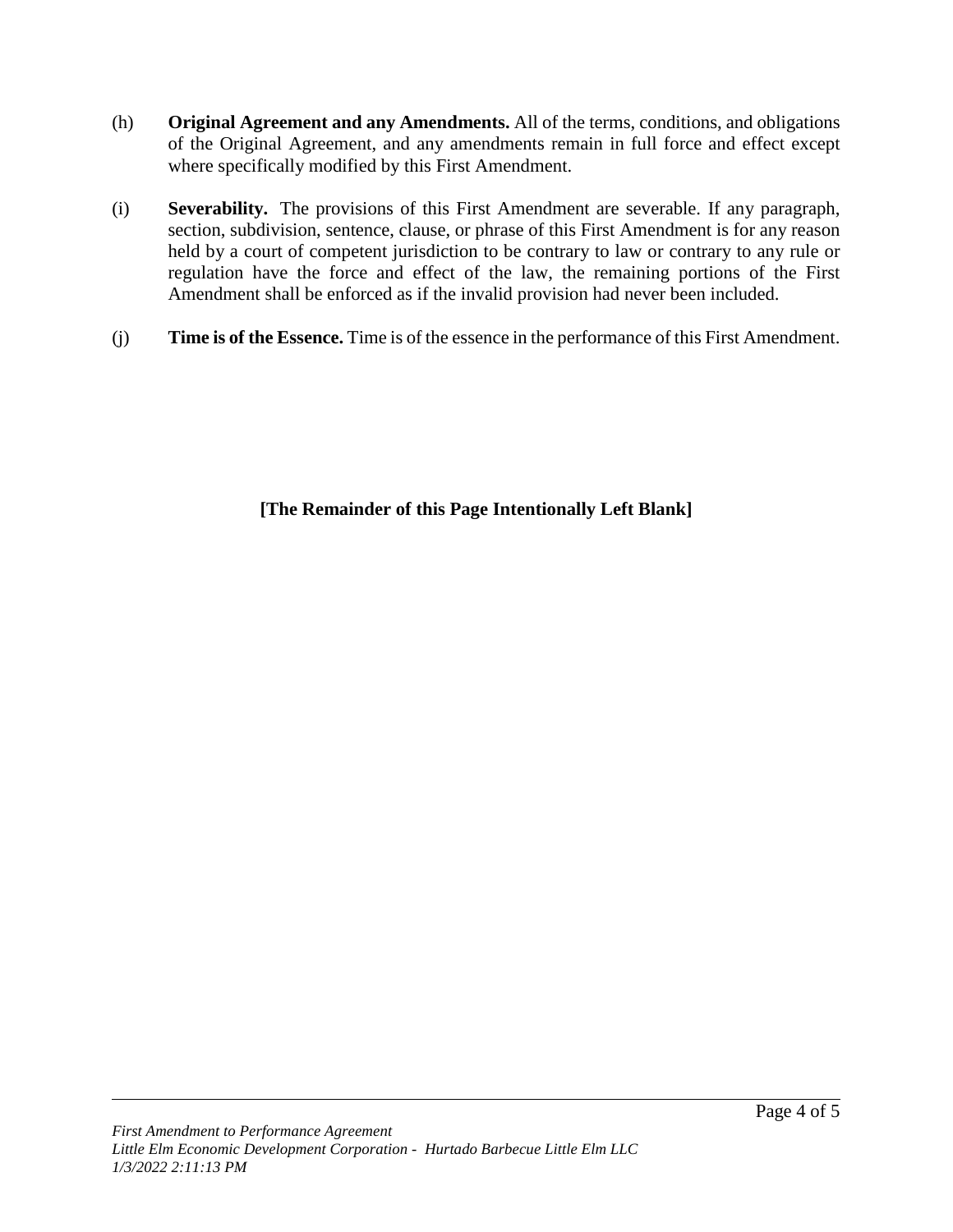- (h) **Original Agreement and any Amendments.** All of the terms, conditions, and obligations of the Original Agreement, and any amendments remain in full force and effect except where specifically modified by this First Amendment.
- (i) **Severability.** The provisions of this First Amendment are severable. If any paragraph, section, subdivision, sentence, clause, or phrase of this First Amendment is for any reason held by a court of competent jurisdiction to be contrary to law or contrary to any rule or regulation have the force and effect of the law, the remaining portions of the First Amendment shall be enforced as if the invalid provision had never been included.
- (j) **Time is of the Essence.** Time is of the essence in the performance of this First Amendment.

**[The Remainder of this Page Intentionally Left Blank]**